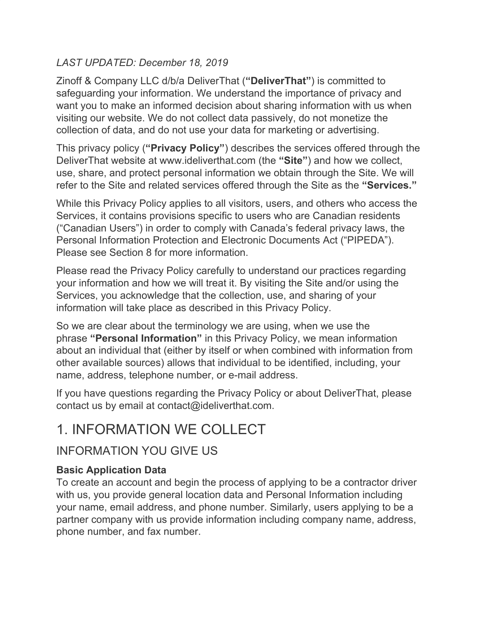### *LAST UPDATED: December 18, 2019*

Zinoff & Company LLC d/b/a DeliverThat (**"DeliverThat"**) is committed to safeguarding your information. We understand the importance of privacy and want you to make an informed decision about sharing information with us when visiting our website. We do not collect data passively, do not monetize the collection of data, and do not use your data for marketing or advertising.

This privacy policy (**"Privacy Policy"**) describes the services offered through the DeliverThat website at www.ideliverthat.com (the **"Site"**) and how we collect, use, share, and protect personal information we obtain through the Site. We will refer to the Site and related services offered through the Site as the **"Services."**

While this Privacy Policy applies to all visitors, users, and others who access the Services, it contains provisions specific to users who are Canadian residents ("Canadian Users") in order to comply with Canada's federal privacy laws, the Personal Information Protection and Electronic Documents Act ("PIPEDA"). Please see Section 8 for more information.

Please read the Privacy Policy carefully to understand our practices regarding your information and how we will treat it. By visiting the Site and/or using the Services, you acknowledge that the collection, use, and sharing of your information will take place as described in this Privacy Policy.

So we are clear about the terminology we are using, when we use the phrase **"Personal Information"** in this Privacy Policy, we mean information about an individual that (either by itself or when combined with information from other available sources) allows that individual to be identified, including, your name, address, telephone number, or e-mail address.

If you have questions regarding the Privacy Policy or about DeliverThat, please contact us by email at contact@ideliverthat.com.

## 1. INFORMATION WE COLLECT

## INFORMATION YOU GIVE US

### **Basic Application Data**

To create an account and begin the process of applying to be a contractor driver with us, you provide general location data and Personal Information including your name, email address, and phone number. Similarly, users applying to be a partner company with us provide information including company name, address, phone number, and fax number.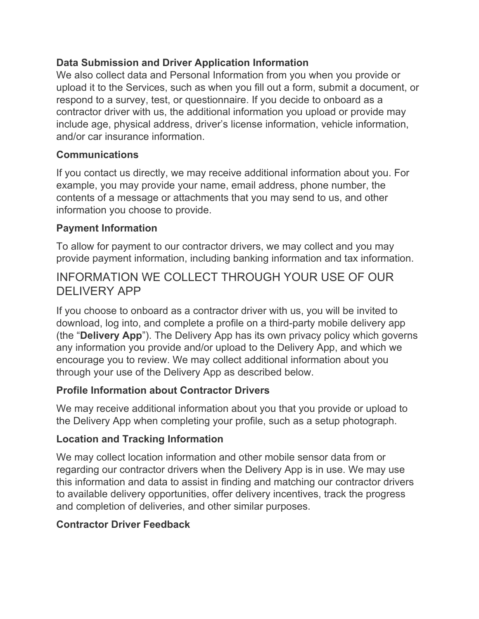### **Data Submission and Driver Application Information**

We also collect data and Personal Information from you when you provide or upload it to the Services, such as when you fill out a form, submit a document, or respond to a survey, test, or questionnaire. If you decide to onboard as a contractor driver with us, the additional information you upload or provide may include age, physical address, driver's license information, vehicle information, and/or car insurance information.

#### **Communications**

If you contact us directly, we may receive additional information about you. For example, you may provide your name, email address, phone number, the contents of a message or attachments that you may send to us, and other information you choose to provide.

#### **Payment Information**

To allow for payment to our contractor drivers, we may collect and you may provide payment information, including banking information and tax information.

## INFORMATION WE COLLECT THROUGH YOUR USE OF OUR DELIVERY APP

If you choose to onboard as a contractor driver with us, you will be invited to download, log into, and complete a profile on a third-party mobile delivery app (the "**Delivery App**"). The Delivery App has its own privacy policy which governs any information you provide and/or upload to the Delivery App, and which we encourage you to review. We may collect additional information about you through your use of the Delivery App as described below.

### **Profile Information about Contractor Drivers**

We may receive additional information about you that you provide or upload to the Delivery App when completing your profile, such as a setup photograph.

#### **Location and Tracking Information**

We may collect location information and other mobile sensor data from or regarding our contractor drivers when the Delivery App is in use. We may use this information and data to assist in finding and matching our contractor drivers to available delivery opportunities, offer delivery incentives, track the progress and completion of deliveries, and other similar purposes.

### **Contractor Driver Feedback**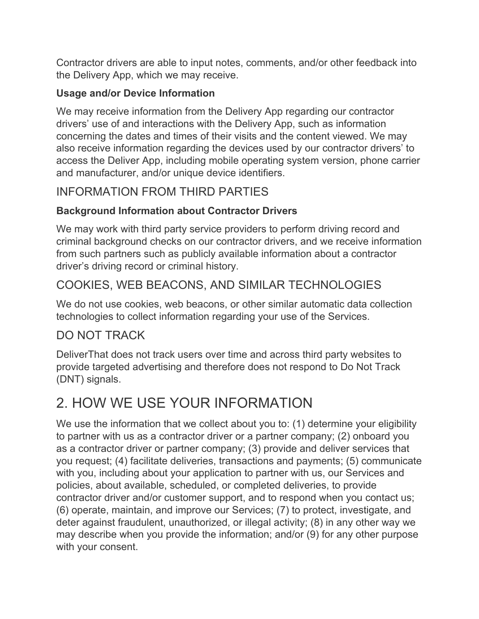Contractor drivers are able to input notes, comments, and/or other feedback into the Delivery App, which we may receive.

### **Usage and/or Device Information**

We may receive information from the Delivery App regarding our contractor drivers' use of and interactions with the Delivery App, such as information concerning the dates and times of their visits and the content viewed. We may also receive information regarding the devices used by our contractor drivers' to access the Deliver App, including mobile operating system version, phone carrier and manufacturer, and/or unique device identifiers.

## INFORMATION FROM THIRD PARTIES

## **Background Information about Contractor Drivers**

We may work with third party service providers to perform driving record and criminal background checks on our contractor drivers, and we receive information from such partners such as publicly available information about a contractor driver's driving record or criminal history.

## COOKIES, WEB BEACONS, AND SIMILAR TECHNOLOGIES

We do not use cookies, web beacons, or other similar automatic data collection technologies to collect information regarding your use of the Services.

## DO NOT TRACK

DeliverThat does not track users over time and across third party websites to provide targeted advertising and therefore does not respond to Do Not Track (DNT) signals.

# 2. HOW WE USE YOUR INFORMATION

We use the information that we collect about you to: (1) determine your eligibility to partner with us as a contractor driver or a partner company; (2) onboard you as a contractor driver or partner company; (3) provide and deliver services that you request; (4) facilitate deliveries, transactions and payments; (5) communicate with you, including about your application to partner with us, our Services and policies, about available, scheduled, or completed deliveries, to provide contractor driver and/or customer support, and to respond when you contact us; (6) operate, maintain, and improve our Services; (7) to protect, investigate, and deter against fraudulent, unauthorized, or illegal activity; (8) in any other way we may describe when you provide the information; and/or (9) for any other purpose with your consent.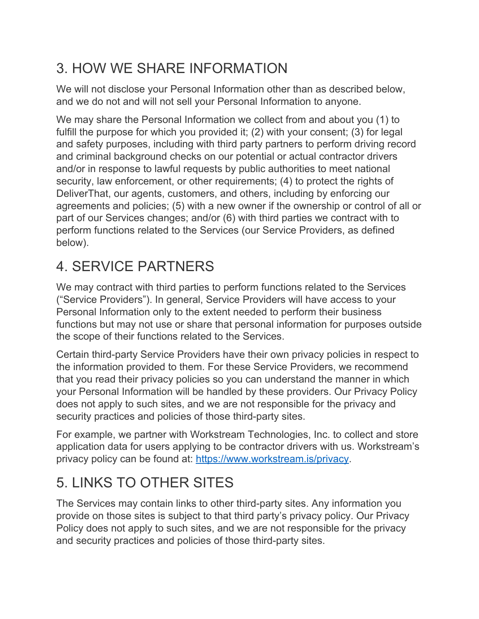# 3. HOW WE SHARE INFORMATION

We will not disclose your Personal Information other than as described below, and we do not and will not sell your Personal Information to anyone.

We may share the Personal Information we collect from and about you (1) to fulfill the purpose for which you provided it; (2) with your consent; (3) for legal and safety purposes, including with third party partners to perform driving record and criminal background checks on our potential or actual contractor drivers and/or in response to lawful requests by public authorities to meet national security, law enforcement, or other requirements; (4) to protect the rights of DeliverThat, our agents, customers, and others, including by enforcing our agreements and policies; (5) with a new owner if the ownership or control of all or part of our Services changes; and/or (6) with third parties we contract with to perform functions related to the Services (our Service Providers, as defined below).

# 4. SERVICE PARTNERS

We may contract with third parties to perform functions related to the Services ("Service Providers"). In general, Service Providers will have access to your Personal Information only to the extent needed to perform their business functions but may not use or share that personal information for purposes outside the scope of their functions related to the Services.

Certain third-party Service Providers have their own privacy policies in respect to the information provided to them. For these Service Providers, we recommend that you read their privacy policies so you can understand the manner in which your Personal Information will be handled by these providers. Our Privacy Policy does not apply to such sites, and we are not responsible for the privacy and security practices and policies of those third-party sites.

For example, we partner with Workstream Technologies, Inc. to collect and store application data for users applying to be contractor drivers with us. Workstream's privacy policy can be found at: <https://www.workstream.is/privacy>.

# 5. LINKS TO OTHER SITES

The Services may contain links to other third-party sites. Any information you provide on those sites is subject to that third party's privacy policy. Our Privacy Policy does not apply to such sites, and we are not responsible for the privacy and security practices and policies of those third-party sites.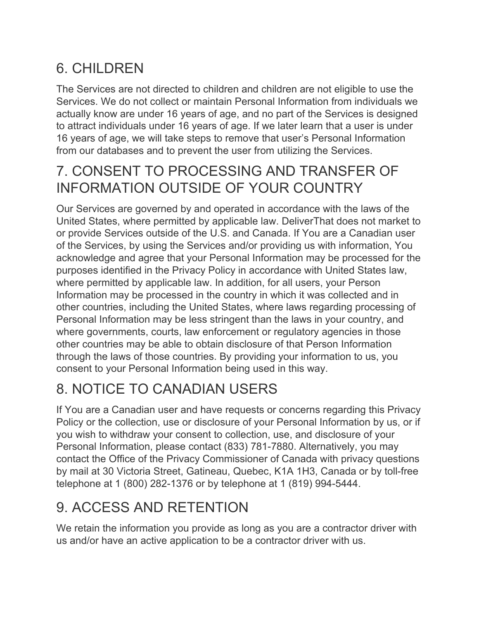# 6. CHILDREN

The Services are not directed to children and children are not eligible to use the Services. We do not collect or maintain Personal Information from individuals we actually know are under 16 years of age, and no part of the Services is designed to attract individuals under 16 years of age. If we later learn that a user is under 16 years of age, we will take steps to remove that user's Personal Information from our databases and to prevent the user from utilizing the Services.

## 7. CONSENT TO PROCESSING AND TRANSFER OF INFORMATION OUTSIDE OF YOUR COUNTRY

Our Services are governed by and operated in accordance with the laws of the United States, where permitted by applicable law. DeliverThat does not market to or provide Services outside of the U.S. and Canada. If You are a Canadian user of the Services, by using the Services and/or providing us with information, You acknowledge and agree that your Personal Information may be processed for the purposes identified in the Privacy Policy in accordance with United States law, where permitted by applicable law. In addition, for all users, your Person Information may be processed in the country in which it was collected and in other countries, including the United States, where laws regarding processing of Personal Information may be less stringent than the laws in your country, and where governments, courts, law enforcement or regulatory agencies in those other countries may be able to obtain disclosure of that Person Information through the laws of those countries. By providing your information to us, you consent to your Personal Information being used in this way.

# 8. NOTICE TO CANADIAN USERS

If You are a Canadian user and have requests or concerns regarding this Privacy Policy or the collection, use or disclosure of your Personal Information by us, or if you wish to withdraw your consent to collection, use, and disclosure of your Personal Information, please contact (833) 781-7880. Alternatively, you may contact the Office of the Privacy Commissioner of Canada with privacy questions by mail at 30 Victoria Street, Gatineau, Quebec, K1A 1H3, Canada or by toll-free telephone at 1 (800) 282-1376 or by telephone at 1 (819) 994-5444.

# 9. ACCESS AND RETENTION

We retain the information you provide as long as you are a contractor driver with us and/or have an active application to be a contractor driver with us.